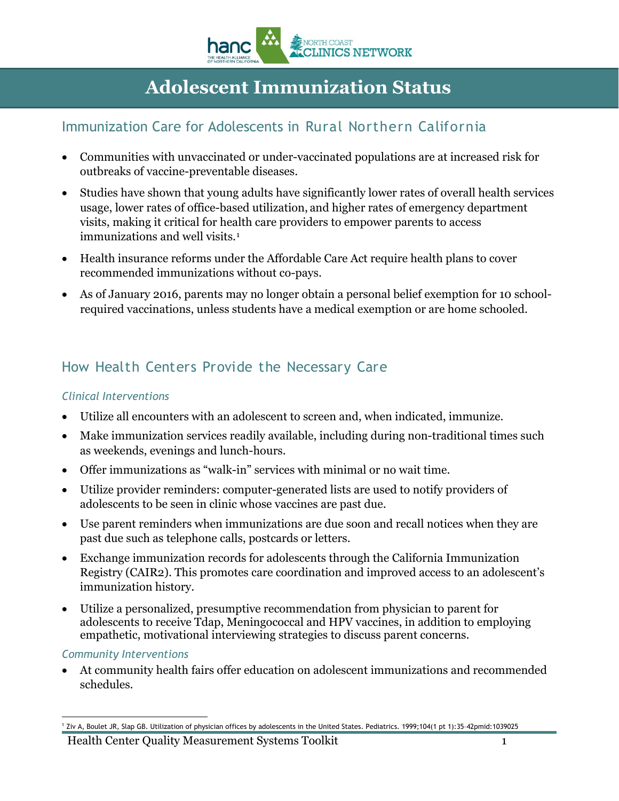

# **Adolescent Immunization Status**

### Immunization Care for Adolescents in Rural Northern California

- Communities with unvaccinated or under-vaccinated populations are at increased risk for outbreaks of vaccine-preventable diseases.
- Studies have shown that young adults have significantly lower rates of overall health services usage, lower rates of office-based utilization, and higher rates of emergency department visits, making it critical for health care providers to empower parents to access immunizations and well visits.<sup>[1](#page-0-0)</sup>
- Health insurance reforms under the Affordable Care Act require health plans to cover recommended immunizations without co-pays.
- As of January 2016, parents may no longer obtain a personal belief exemption for 10 schoolrequired vaccinations, unless students have a medical exemption or are home schooled.

## How Health Centers Provide the Necessary Care

### *Clinical Interventions*

- Utilize all encounters with an adolescent to screen and, when indicated, immunize.
- Make immunization services readily available, including during non-traditional times such as weekends, evenings and lunch-hours.
- Offer immunizations as "walk-in" services with minimal or no wait time.
- Utilize provider reminders: computer-generated lists are used to notify providers of adolescents to be seen in clinic whose vaccines are past due.
- Use parent reminders when immunizations are due soon and recall notices when they are past due such as telephone calls, postcards or letters.
- Exchange immunization records for adolescents through the California Immunization Registry (CAIR2). This promotes care coordination and improved access to an adolescent's immunization history.
- Utilize a personalized, presumptive recommendation from physician to parent for adolescents to receive Tdap, Meningococcal and HPV vaccines, in addition to employing empathetic, motivational interviewing strategies to discuss parent concerns.

#### *Community Interventions*

• At community health fairs offer education on adolescent immunizations and recommended schedules.

Health Center Quality Measurement Systems Toolkit 1

<span id="page-0-0"></span> <sup>1</sup> Ziv A, Boulet JR, Slap GB. Utilization of physician offices by adolescents in the United States. Pediatrics. 1999;104(1 pt 1):35–42pmid:1039025